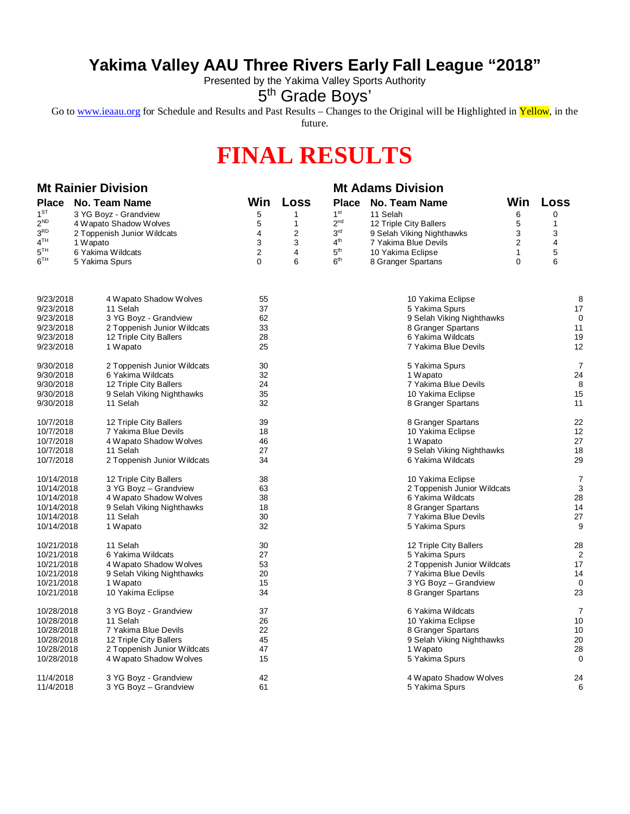## **Yakima Valley AAU Three Rivers Early Fall League "2018"**

Presented by the Yakima Valley Sports Authority

5<sup>th</sup> Grade Boys'

Go to [www.ieaau.org](http://www.ieaau.org) for Schedule and Results and Past Results – Changes to the Original will be Highlighted in Yellow, in the

future.

## **FINAL RESULTS**

| <b>Mt Rainier Division</b> |                                         |                             |                |      | <b>Mt Adams Division</b>    |                             |                |                |
|----------------------------|-----------------------------------------|-----------------------------|----------------|------|-----------------------------|-----------------------------|----------------|----------------|
| <b>Place</b>               |                                         | No. Team Name               | Win            | Loss |                             | Place No. Team Name         | Win            | Loss           |
| $1^{ST}$                   |                                         | 3 YG Boyz - Grandview       | 5              | 1    | 1 <sup>st</sup>             | 11 Selah                    | 6              | $\mathbf 0$    |
| $2^{ND}$                   |                                         | 4 Wapato Shadow Wolves      | 5              | 1    | 2 <sup>nd</sup>             | 12 Triple City Ballers      | 5              | 1              |
| 3 <sup>RD</sup>            |                                         | 2 Toppenish Junior Wildcats | 4              | 2    | 3 <sup>rd</sup>             | 9 Selah Viking Nighthawks   | 3              | 3              |
| 4 <sup>TH</sup>            | 1 Wapato                                |                             | 3              | 3    | 4 <sup>th</sup>             | 7 Yakima Blue Devils        | $\overline{c}$ | 4              |
| $5^{TH}$                   |                                         | 6 Yakima Wildcats           | $\overline{2}$ | 4    | 5 <sup>th</sup>             | 10 Yakima Eclipse           | $\mathbf{1}$   | 5              |
| $6^{\rm TH}$               | 5 Yakima Spurs                          |                             | $\Omega$       | 6    | 6 <sup>th</sup>             | 8 Granger Spartans          | $\Omega$       | 6              |
|                            |                                         |                             |                |      |                             |                             |                |                |
| 9/23/2018                  |                                         | 4 Wapato Shadow Wolves      | 55             |      |                             | 10 Yakima Eclipse           |                | 8              |
| 9/23/2018                  |                                         | 11 Selah                    | 37             |      |                             | 5 Yakima Spurs              |                | 17             |
| 9/23/2018                  |                                         | 3 YG Boyz - Grandview       | 62             |      |                             | 9 Selah Viking Nighthawks   |                | 0              |
| 9/23/2018                  |                                         | 2 Toppenish Junior Wildcats | 33             |      |                             | 8 Granger Spartans          |                | 11             |
| 9/23/2018                  |                                         | 12 Triple City Ballers      | 28             |      |                             | 6 Yakima Wildcats           |                | 19             |
| 9/23/2018                  |                                         | 1 Wapato                    | 25             |      |                             | 7 Yakima Blue Devils        |                | 12             |
| 9/30/2018                  |                                         | 2 Toppenish Junior Wildcats | 30             |      |                             | 5 Yakima Spurs              |                | 7              |
| 9/30/2018                  |                                         | 6 Yakima Wildcats           | 32             |      |                             | 1 Wapato                    |                | 24             |
| 9/30/2018                  |                                         | 12 Triple City Ballers      | 24             |      |                             | 7 Yakima Blue Devils        |                | 8              |
| 9/30/2018                  |                                         | 9 Selah Viking Nighthawks   | 35             |      |                             | 10 Yakima Eclipse           |                | 15             |
| 9/30/2018                  |                                         | 11 Selah                    | 32             |      |                             | 8 Granger Spartans          |                | 11             |
| 10/7/2018                  |                                         | 12 Triple City Ballers      | 39             |      |                             | 8 Granger Spartans          |                | 22<br>12       |
| 10/7/2018                  | 7 Yakima Blue Devils                    |                             | 18             |      |                             | 10 Yakima Eclipse           |                |                |
| 10/7/2018                  | 4 Wapato Shadow Wolves                  |                             | 46             |      | 1 Wapato                    |                             |                | 27             |
| 10/7/2018                  |                                         | 11 Selah                    | 27             |      |                             | 9 Selah Viking Nighthawks   |                | 18             |
| 10/7/2018                  |                                         | 2 Toppenish Junior Wildcats | 34             |      |                             | 6 Yakima Wildcats           |                | 29             |
| 10/14/2018                 |                                         | 12 Triple City Ballers      | 38             |      |                             | 10 Yakima Eclipse           |                | 7              |
| 10/14/2018                 |                                         | 3 YG Boyz - Grandview       | 63             |      | 2 Toppenish Junior Wildcats |                             |                | 3              |
|                            | 10/14/2018<br>4 Wapato Shadow Wolves    |                             | 38             |      | 6 Yakima Wildcats           |                             |                | 28             |
|                            | 10/14/2018<br>9 Selah Viking Nighthawks |                             | 18             |      | 8 Granger Spartans          |                             |                | 14             |
|                            | 10/14/2018<br>11 Selah                  |                             | 30             |      | 7 Yakima Blue Devils        |                             |                | 27             |
|                            | 10/14/2018<br>1 Wapato                  |                             | 32             |      |                             | 5 Yakima Spurs              |                | 9              |
| 10/21/2018                 |                                         | 11 Selah                    | 30             |      |                             | 12 Triple City Ballers      |                | 28             |
| 10/21/2018                 |                                         | 6 Yakima Wildcats           | 27             |      |                             | 5 Yakima Spurs              |                | $\overline{2}$ |
| 10/21/2018                 |                                         | 4 Wapato Shadow Wolves      | 53             |      |                             | 2 Toppenish Junior Wildcats |                | 17             |
| 10/21/2018                 |                                         | 9 Selah Viking Nighthawks   | 20             |      |                             | 7 Yakima Blue Devils        |                | 14             |
| 10/21/2018                 |                                         | 1 Wapato                    | 15             |      |                             | 3 YG Boyz - Grandview       |                | 0              |
| 10/21/2018                 |                                         | 10 Yakima Eclipse           | 34             |      |                             | 8 Granger Spartans          |                | 23             |
| 10/28/2018                 |                                         | 3 YG Boyz - Grandview       | 37             |      |                             | 6 Yakima Wildcats           |                | 7              |
| 10/28/2018                 |                                         | 11 Selah                    | 26             |      |                             | 10 Yakima Eclipse           |                | 10             |
| 10/28/2018                 |                                         | 7 Yakima Blue Devils        | 22             |      |                             | 8 Granger Spartans          |                | 10             |
| 10/28/2018                 |                                         | 12 Triple City Ballers      | 45             |      |                             | 9 Selah Viking Nighthawks   |                | 20             |
| 10/28/2018                 |                                         | 2 Toppenish Junior Wildcats | 47             |      |                             | 1 Wapato                    |                | 28             |
| 10/28/2018                 |                                         | 4 Wapato Shadow Wolves      | 15             |      |                             | 5 Yakima Spurs              |                | 0              |
| 11/4/2018                  |                                         | 3 YG Boyz - Grandview       | 42             |      |                             | 4 Wapato Shadow Wolves      |                | 24             |
| 11/4/2018                  |                                         | 3 YG Boyz - Grandview       | 61             |      |                             | 5 Yakima Spurs              |                | 6              |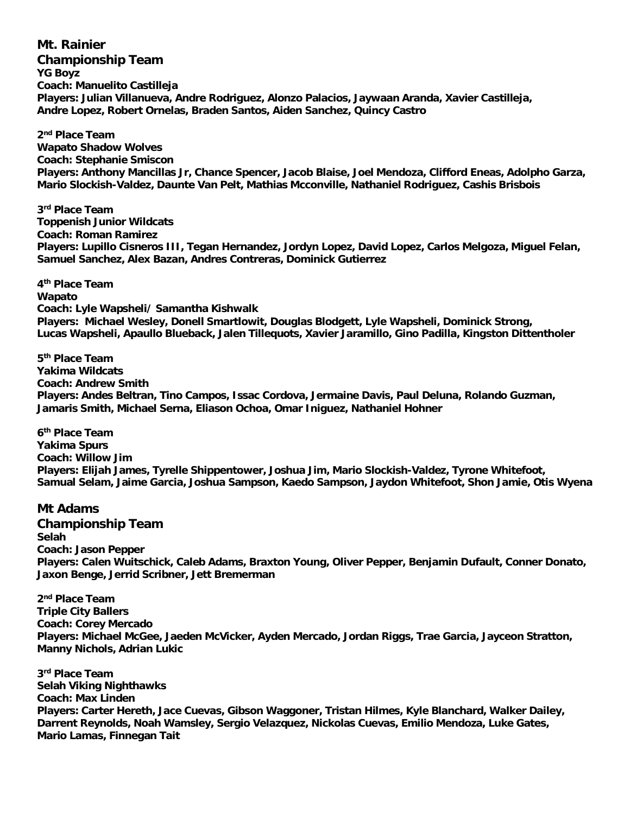**Mt. Rainier Championship Team YG Boyz Coach: Manuelito Castilleja Players: Julian Villanueva, Andre Rodriguez, Alonzo Palacios, Jaywaan Aranda, Xavier Castilleja, Andre Lopez, Robert Ornelas, Braden Santos, Aiden Sanchez, Quincy Castro**

**2 nd Place Team Wapato Shadow Wolves Coach: Stephanie Smiscon Players: Anthony Mancillas Jr, Chance Spencer, Jacob Blaise, Joel Mendoza, Clifford Eneas, Adolpho Garza, Mario Slockish-Valdez, Daunte Van Pelt, Mathias Mcconville, Nathaniel Rodriguez, Cashis Brisbois**

**3 rd Place Team Toppenish Junior Wildcats Coach: Roman Ramirez Players: Lupillo Cisneros III, Tegan Hernandez, Jordyn Lopez, David Lopez, Carlos Melgoza, Miguel Felan, Samuel Sanchez, Alex Bazan, Andres Contreras, Dominick Gutierrez**

**4 th Place Team Wapato Coach: Lyle Wapsheli/ Samantha Kishwalk Players: Michael Wesley, Donell Smartlowit, Douglas Blodgett, Lyle Wapsheli, Dominick Strong, Lucas Wapsheli, Apaullo Blueback, Jalen Tillequots, Xavier Jaramillo, Gino Padilla, Kingston Dittentholer**

**5 th Place Team Yakima Wildcats Coach: Andrew Smith Players: Andes Beltran, Tino Campos, Issac Cordova, Jermaine Davis, Paul Deluna, Rolando Guzman, Jamaris Smith, Michael Serna, Eliason Ochoa, Omar Iniguez, Nathaniel Hohner**

**6 th Place Team Yakima Spurs Coach: Willow Jim Players: Elijah James, Tyrelle Shippentower, Joshua Jim, Mario Slockish-Valdez, Tyrone Whitefoot, Samual Selam, Jaime Garcia, Joshua Sampson, Kaedo Sampson, Jaydon Whitefoot, Shon Jamie, Otis Wyena**

## **Mt Adams**

**Championship Team Selah Coach: Jason Pepper Players: Calen Wuitschick, Caleb Adams, Braxton Young, Oliver Pepper, Benjamin Dufault, Conner Donato, Jaxon Benge, Jerrid Scribner, Jett Bremerman**

**2 nd Place Team Triple City Ballers Coach: Corey Mercado Players: Michael McGee, Jaeden McVicker, Ayden Mercado, Jordan Riggs, Trae Garcia, Jayceon Stratton, Manny Nichols, Adrian Lukic**

**3 rd Place Team Selah Viking Nighthawks Coach: Max Linden Players: Carter Hereth, Jace Cuevas, Gibson Waggoner, Tristan Hilmes, Kyle Blanchard, Walker Dailey, Darrent Reynolds, Noah Wamsley, Sergio Velazquez, Nickolas Cuevas, Emilio Mendoza, Luke Gates, Mario Lamas, Finnegan Tait**